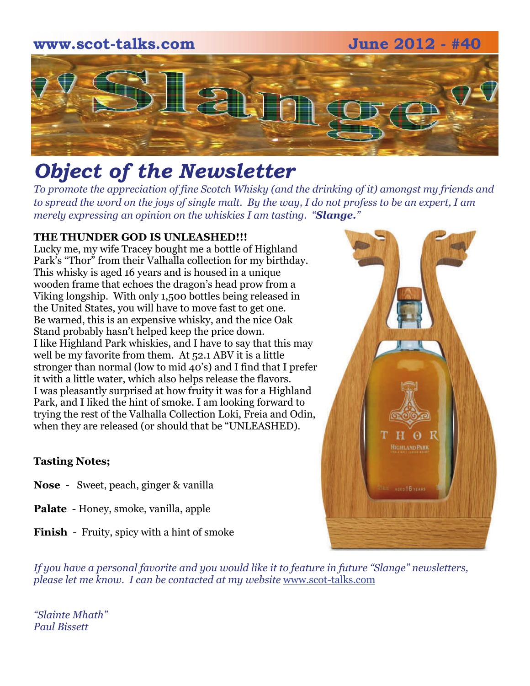### **www.scot-talks.com June 2012 - #40**



# *Object of the Newsletter*

*To promote the appreciation of fine Scotch Whisky (and the drinking of it) amongst my friends and to spread the word on the joys of single malt. By the way, I do not profess to be an expert, I am merely expressing an opinion on the whiskies I am tasting. "Slange."* 

#### **THE THUNDER GOD IS UNLEASHED!!!**

Lucky me, my wife Tracey bought me a bottle of Highland Park's "Thor" from their Valhalla collection for my birthday. This whisky is aged 16 years and is housed in a unique wooden frame that echoes the dragon's head prow from a Viking longship. With only 1,500 bottles being released in the United States, you will have to move fast to get one. Be warned, this is an expensive whisky, and the nice Oak Stand probably hasn't helped keep the price down. I like Highland Park whiskies, and I have to say that this may well be my favorite from them. At 52.1 ABV it is a little stronger than normal (low to mid 40's) and I find that I prefer it with a little water, which also helps release the flavors. I was pleasantly surprised at how fruity it was for a Highland Park, and I liked the hint of smoke. I am looking forward to trying the rest of the Valhalla Collection Loki, Freia and Odin, when they are released (or should that be "UNLEASHED).

#### **Tasting Notes;**

- **Nose**  Sweet, peach, ginger & vanilla
- **Palate**  Honey, smoke, vanilla, apple
- **Finish**  Fruity, spicy with a hint of smoke

*If you have a personal favorite and you would like it to feature in future "Slange" newsletters, please let me know. I can be contacted at my website* [www.scot-talks.com](http://www.scot-talks.com/default.html)

*"Slainte Mhath" Paul Bissett*

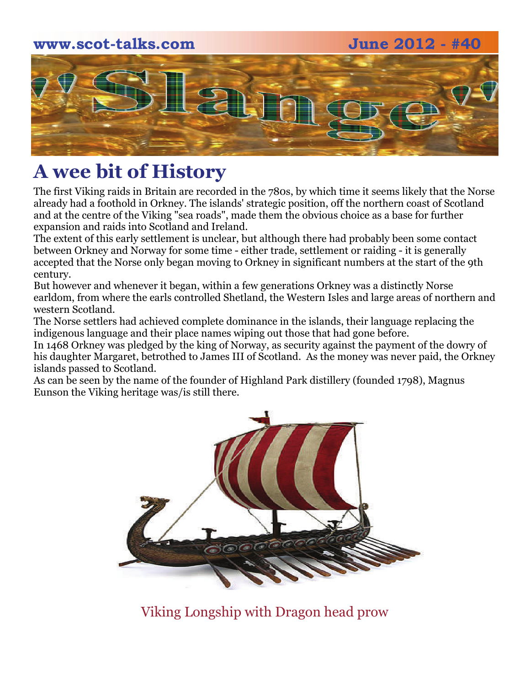### **www.scot-talks.com June 2012 - #40**



# **A wee bit of History**

The first Viking raids in Britain are recorded in the 780s, by which time it seems likely that the Norse already had a foothold in Orkney. The islands' strategic position, off the northern coast of Scotland and at the centre of the Viking "sea roads", made them the obvious choice as a base for further expansion and raids into Scotland and Ireland.

The extent of this early settlement is unclear, but although there had probably been some contact between Orkney and Norway for some time - either trade, settlement or raiding - it is generally accepted that the Norse only began moving to Orkney in significant numbers at the start of the 9th century.

But however and whenever it began, within a few generations Orkney was a distinctly Norse earldom, from where the earls controlled Shetland, the Western Isles and large areas of northern and western Scotland.

The Norse settlers had achieved complete dominance in the islands, their language replacing the indigenous language and their place names wiping out those that had gone before.

In 1468 Orkney was pledged by the king of Norway, as security against the payment of the dowry of his daughter Margaret, betrothed to James III of Scotland. As the money was never paid, the Orkney islands passed to Scotland.

As can be seen by the name of the founder of Highland Park distillery (founded 1798), Magnus Eunson the Viking heritage was/is still there.



Viking Longship with Dragon head prow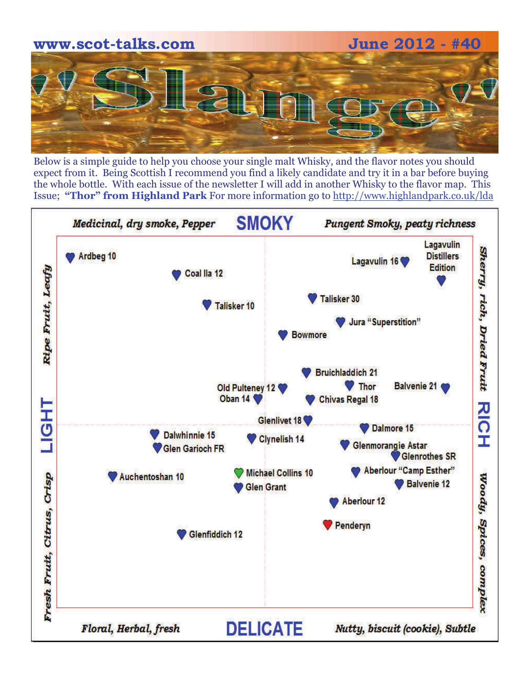

Below is a simple guide to help you choose your single malt Whisky, and the flavor notes you should expect from it. Being Scottish I recommend you find a likely candidate and try it in a bar before buying the whole bottle. With each issue of the newsletter I will add in another Whisky to the flavor map. This Issue; **"Thor" from Highland Park** For more information go to [http://www.highlandpark.co.uk/lda](http://www.highlandpark.co.uk/lda/)